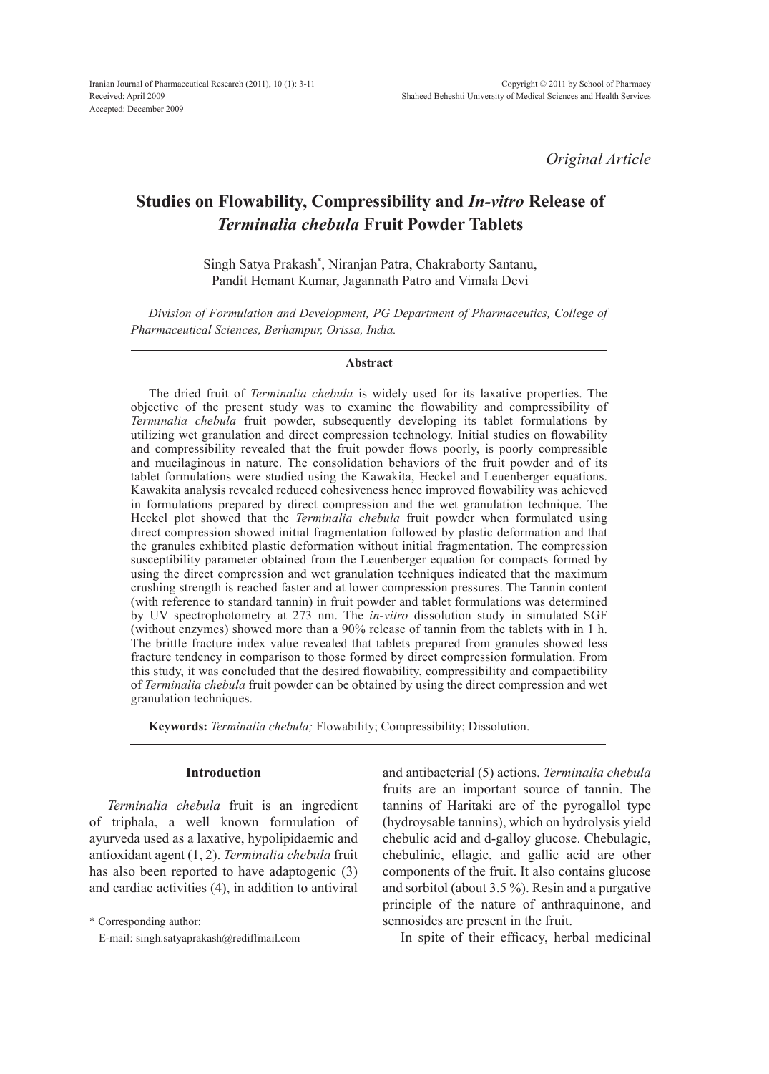*Original Article*

# **Studies on Flowability, Compressibility and** *In-vitro* **Release of** *Terminalia chebula* **Fruit Powder Tablets**

Singh Satya Prakash\* , Niranjan Patra, Chakraborty Santanu, Pandit Hemant Kumar, Jagannath Patro and Vimala Devi

*Division of Formulation and Development, PG Department of Pharmaceutics, College of Pharmaceutical Sciences, Berhampur, Orissa, India.* 

#### **Abstract**

The dried fruit of *Terminalia chebula* is widely used for its laxative properties. The objective of the present study was to examine the flowability and compressibility of *Terminalia chebula* fruit powder, subsequently developing its tablet formulations by utilizing wet granulation and direct compression technology. Initial studies on flowability and compressibility revealed that the fruit powder flows poorly, is poorly compressible and mucilaginous in nature. The consolidation behaviors of the fruit powder and of its tablet formulations were studied using the Kawakita, Heckel and Leuenberger equations. Kawakita analysis revealed reduced cohesiveness hence improved flowability was achieved in formulations prepared by direct compression and the wet granulation technique. The Heckel plot showed that the *Terminalia chebula* fruit powder when formulated using direct compression showed initial fragmentation followed by plastic deformation and that the granules exhibited plastic deformation without initial fragmentation. The compression susceptibility parameter obtained from the Leuenberger equation for compacts formed by using the direct compression and wet granulation techniques indicated that the maximum crushing strength is reached faster and at lower compression pressures. The Tannin content (with reference to standard tannin) in fruit powder and tablet formulations was determined by UV spectrophotometry at 273 nm. The *in-vitro* dissolution study in simulated SGF (without enzymes) showed more than a 90% release of tannin from the tablets with in 1 h. The brittle fracture index value revealed that tablets prepared from granules showed less fracture tendency in comparison to those formed by direct compression formulation. From this study, it was concluded that the desired flowability, compressibility and compactibility of *Terminalia chebula* fruit powder can be obtained by using the direct compression and wet granulation techniques.

**Keywords:** *Terminalia chebula;* Flowability; Compressibility; Dissolution.

#### **Introduction**

*Terminalia chebula* fruit is an ingredient of triphala, a well known formulation of ayurveda used as a laxative, hypolipidaemic and antioxidant agent (1, 2). *Terminalia chebula* fruit has also been reported to have adaptogenic (3) and cardiac activities (4), in addition to antiviral

\* Corresponding author:

and antibacterial (5) actions. *Terminalia chebula* fruits are an important source of tannin. The tannins of Haritaki are of the pyrogallol type (hydroysable tannins), which on hydrolysis yield chebulic acid and d-galloy glucose. Chebulagic, chebulinic, ellagic, and gallic acid are other components of the fruit. It also contains glucose and sorbitol (about 3.5 %). Resin and a purgative principle of the nature of anthraquinone, and sennosides are present in the fruit.

In spite of their efficacy, herbal medicinal

E-mail: singh.satyaprakash@rediffmail.com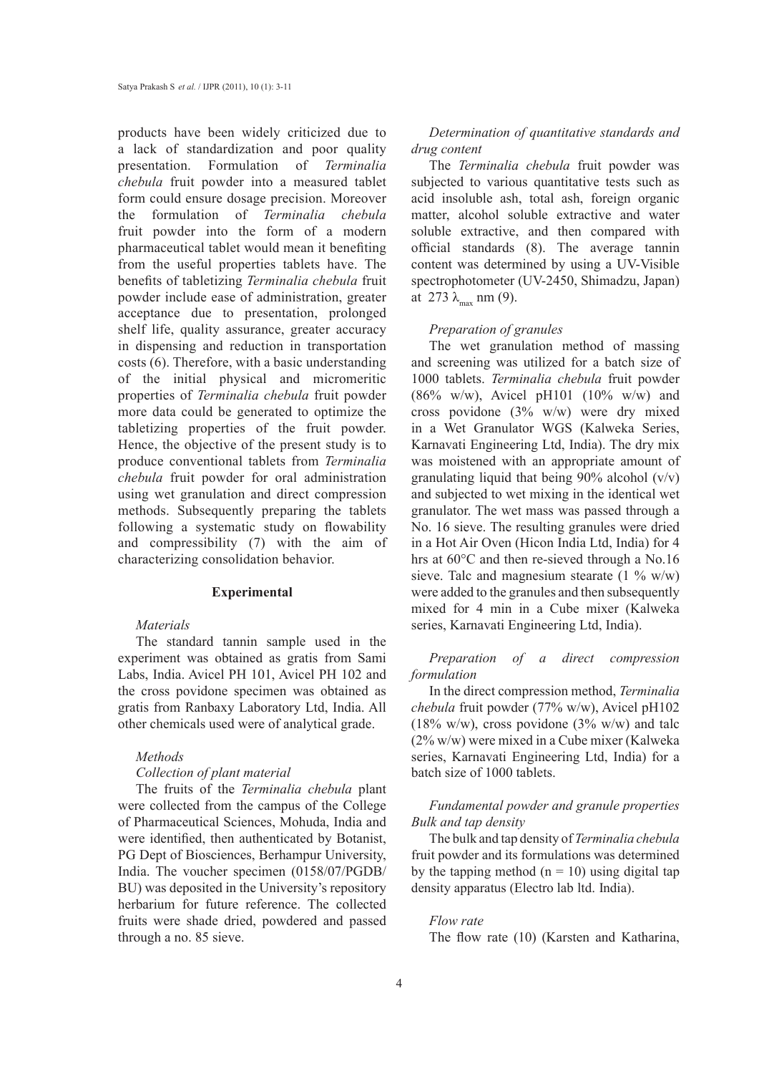products have been widely criticized due to a lack of standardization and poor quality presentation. Formulation of *Terminalia chebula* fruit powder into a measured tablet form could ensure dosage precision. Moreover the formulation of *Terminalia chebula* fruit powder into the form of a modern pharmaceutical tablet would mean it benefiting from the useful properties tablets have. The benefits of tabletizing *Terminalia chebula* fruit powder include ease of administration, greater acceptance due to presentation, prolonged shelf life, quality assurance, greater accuracy in dispensing and reduction in transportation costs (6). Therefore, with a basic understanding of the initial physical and micromeritic properties of *Terminalia chebula* fruit powder more data could be generated to optimize the tabletizing properties of the fruit powder. Hence, the objective of the present study is to produce conventional tablets from *Terminalia chebula* fruit powder for oral administration using wet granulation and direct compression methods. Subsequently preparing the tablets following a systematic study on flowability and compressibility (7) with the aim of characterizing consolidation behavior.

#### **Experimental**

#### *Materials*

The standard tannin sample used in the experiment was obtained as gratis from Sami Labs, India. Avicel PH 101, Avicel PH 102 and the cross povidone specimen was obtained as gratis from Ranbaxy Laboratory Ltd, India. All other chemicals used were of analytical grade.

### *Methods*

# *Collection of plant material*

The fruits of the *Terminalia chebula* plant were collected from the campus of the College of Pharmaceutical Sciences, Mohuda, India and were identified, then authenticated by Botanist, PG Dept of Biosciences, Berhampur University, India. The voucher specimen (0158/07/PGDB/ BU) was deposited in the University's repository herbarium for future reference. The collected fruits were shade dried, powdered and passed through a no. 85 sieve.

# *Determination of quantitative standards and drug content*

The *Terminalia chebula* fruit powder was subjected to various quantitative tests such as acid insoluble ash, total ash, foreign organic matter, alcohol soluble extractive and water soluble extractive, and then compared with official standards (8). The average tannin content was determined by using a UV-Visible spectrophotometer (UV-2450, Shimadzu, Japan) at 273  $\lambda_{\text{max}}$  nm (9).

#### *Preparation of granules*

The wet granulation method of massing and screening was utilized for a batch size of 1000 tablets. *Terminalia chebula* fruit powder  $(86\% \t w/w)$ , Avicel pH101  $(10\% \t w/w)$  and cross povidone (3% w/w) were dry mixed in a Wet Granulator WGS (Kalweka Series, Karnavati Engineering Ltd, India). The dry mix was moistened with an appropriate amount of granulating liquid that being  $90\%$  alcohol (v/v) and subjected to wet mixing in the identical wet granulator. The wet mass was passed through a No. 16 sieve. The resulting granules were dried in a Hot Air Oven (Hicon India Ltd, India) for 4 hrs at 60°C and then re-sieved through a No.16 sieve. Talc and magnesium stearate  $(1 \frac{9}{6} w/w)$ were added to the granules and then subsequently mixed for 4 min in a Cube mixer (Kalweka series, Karnavati Engineering Ltd, India).

*Preparation of a direct compression formulation*

In the direct compression method, *Terminalia chebula* fruit powder (77% w/w), Avicel pH102 (18% w/w), cross povidone (3% w/w) and talc (2% w/w) were mixed in a Cube mixer (Kalweka series, Karnavati Engineering Ltd, India) for a batch size of 1000 tablets.

# *Fundamental powder and granule properties Bulk and tap density*

The bulk and tap density of *Terminalia chebula* fruit powder and its formulations was determined by the tapping method  $(n = 10)$  using digital tap density apparatus (Electro lab ltd. India).

*Flow rate* The flow rate (10) (Karsten and Katharina,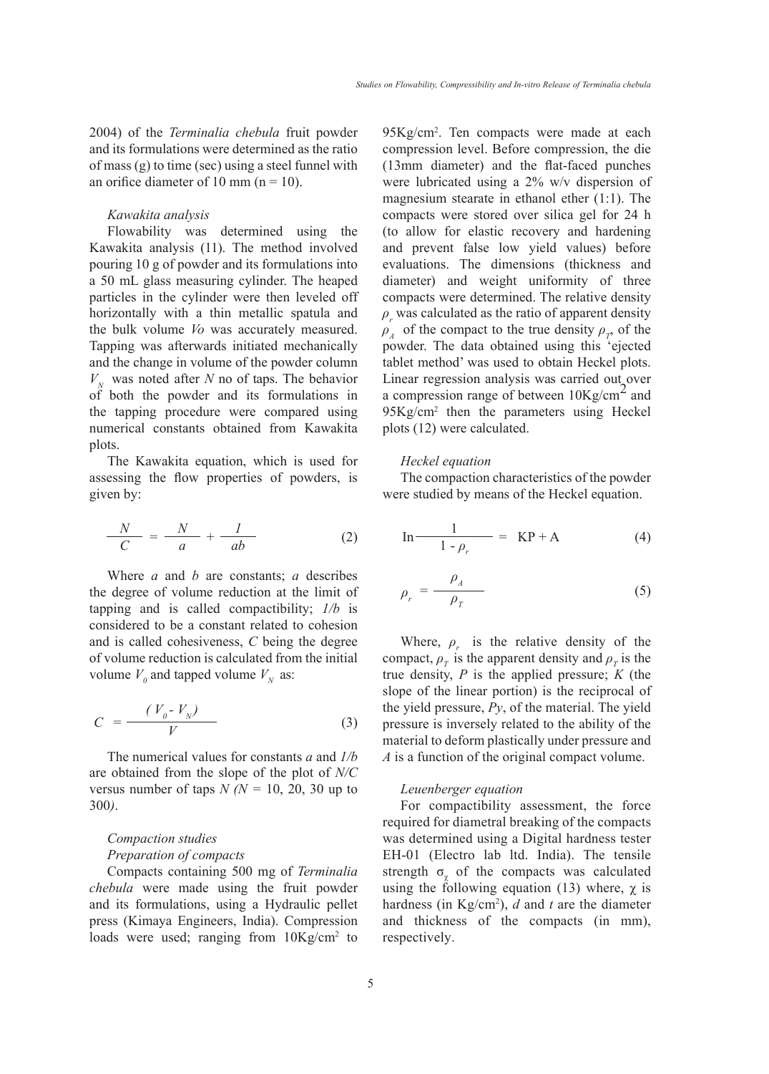2004) of the *Terminalia chebula* fruit powder and its formulations were determined as the ratio of mass (g) to time (sec) using a steel funnel with an orifice diameter of 10 mm  $(n = 10)$ .

#### *Kawakita analysis*

Flowability was determined using the Kawakita analysis (11). The method involved pouring 10 g of powder and its formulations into a 50 mL glass measuring cylinder. The heaped particles in the cylinder were then leveled off horizontally with a thin metallic spatula and the bulk volume *Vo* was accurately measured. Tapping was afterwards initiated mechanically and the change in volume of the powder column  $V_N$  was noted after *N* no of taps. The behavior of both the powder and its formulations in the tapping procedure were compared using numerical constants obtained from Kawakita plots.

The Kawakita equation, which is used for assessing the flow properties of powders, is given by:

$$
\frac{N}{C} = \frac{N}{a} + \frac{1}{ab} \tag{2}
$$

Where *a* and *b* are constants; *a* describes the degree of volume reduction at the limit of tapping and is called compactibility; *1/b* is considered to be a constant related to cohesion and is called cohesiveness, *C* being the degree of volume reduction is calculated from the initial volume  $V_0$  and tapped volume  $V_N$  as:

$$
C = \frac{(V_0 - V_N)}{V} \tag{3}
$$

The numerical values for constants *a* and *1/b* are obtained from the slope of the plot of *N/C* versus number of taps  $N (N = 10, 20, 30$  up to 300*)*.

### *Compaction studies*

#### *Preparation of compacts*

Compacts containing 500 mg of *Terminalia chebula* were made using the fruit powder and its formulations, using a Hydraulic pellet press (Kimaya Engineers, India). Compression loads were used; ranging from  $10\text{Kg/cm}^2$  to

95Kg/cm2 . Ten compacts were made at each compression level. Before compression, the die (13mm diameter) and the flat-faced punches were lubricated using a 2% w/v dispersion of magnesium stearate in ethanol ether (1:1). The compacts were stored over silica gel for 24 h (to allow for elastic recovery and hardening and prevent false low yield values) before evaluations. The dimensions (thickness and diameter) and weight uniformity of three compacts were determined. The relative density  $\rho_r$  was calculated as the ratio of apparent density  $\rho_A$  of the compact to the true density  $\rho_T$  of the powder. The data obtained using this 'ejected tablet method' was used to obtain Heckel plots. Linear regression analysis was carried out over a compression range of between  $10Kg/cm<sup>2</sup>$  and 95Kg/cm2 then the parameters using Heckel plots (12) were calculated.

#### *Heckel equation*

The compaction characteristics of the powder were studied by means of the Heckel equation.

$$
\text{In} \frac{1}{1 - \rho_r} = \text{KP} + \text{A}
$$
 (4)

$$
\rho_r = \frac{\rho_A}{\rho_T} \tag{5}
$$

Where,  $\rho_r$  is the relative density of the compact,  $\rho_T$  is the apparent density and  $\rho_T$  is the true density, *P* is the applied pressure; *K* (the slope of the linear portion) is the reciprocal of the yield pressure, *Py*, of the material. The yield pressure is inversely related to the ability of the material to deform plastically under pressure and *A* is a function of the original compact volume.

#### *Leuenberger equation*

For compactibility assessment, the force required for diametral breaking of the compacts was determined using a Digital hardness tester EH-01 (Electro lab ltd. India). The tensile strength  $\sigma_{y}$  of the compacts was calculated using the following equation (13) where,  $\chi$  is hardness (in Kg/cm2 ), *d* and *t* are the diameter and thickness of the compacts (in mm), respectively.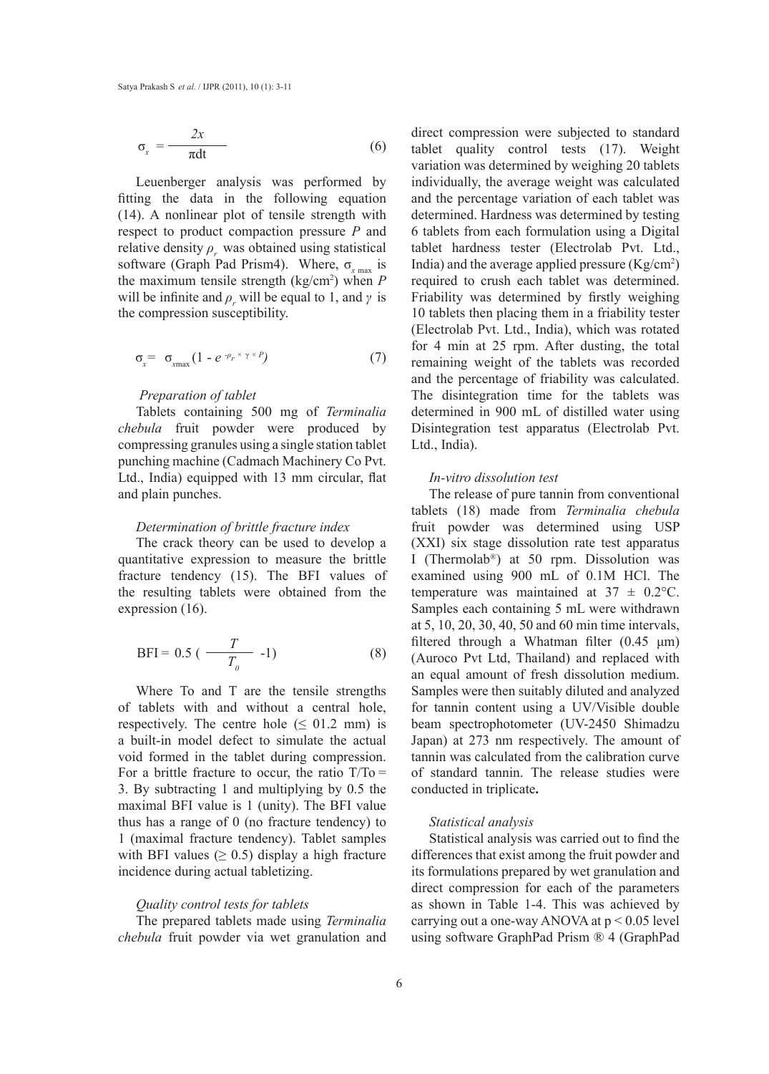$$
\sigma_x = \frac{2x}{\pi dt} \tag{6}
$$

Leuenberger analysis was performed by fitting the data in the following equation (14). A nonlinear plot of tensile strength with respect to product compaction pressure *P* and relative density  $\rho_r$  was obtained using statistical software (Graph Pad Prism4). Where,  $σ_{x \text{ max}}$  is the maximum tensile strength (kg/cm2 ) when *P* will be infinite and  $\rho_r$  will be equal to 1, and  $\gamma$  is the compression susceptibility.

$$
\sigma_x = \sigma_{\text{max}} \left( 1 - e^{-\rho_r \times \gamma \times P} \right) \tag{7}
$$

#### *Preparation of tablet*

Tablets containing 500 mg of *Terminalia chebula* fruit powder were produced by compressing granules using a single station tablet punching machine (Cadmach Machinery Co Pvt. Ltd., India) equipped with 13 mm circular, flat and plain punches.

# *Determination of brittle fracture index*

The crack theory can be used to develop a quantitative expression to measure the brittle fracture tendency (15). The BFI values of the resulting tablets were obtained from the expression (16).

$$
BFI = 0.5 \left( \frac{T}{T_o} - 1 \right) \tag{8}
$$

Where To and T are the tensile strengths of tablets with and without a central hole, respectively. The centre hole  $( \leq 01.2 \text{ mm} )$  is a built-in model defect to simulate the actual void formed in the tablet during compression. For a brittle fracture to occur, the ratio  $T/T_0 =$ 3. By subtracting 1 and multiplying by 0.5 the maximal BFI value is 1 (unity). The BFI value thus has a range of 0 (no fracture tendency) to 1 (maximal fracture tendency). Tablet samples with BFI values  $(≥ 0.5)$  display a high fracture incidence during actual tabletizing.

#### *Quality control tests for tablets*

The prepared tablets made using *Terminalia chebula* fruit powder via wet granulation and direct compression were subjected to standard tablet quality control tests (17). Weight variation was determined by weighing 20 tablets individually, the average weight was calculated and the percentage variation of each tablet was determined. Hardness was determined by testing 6 tablets from each formulation using a Digital tablet hardness tester (Electrolab Pvt. Ltd., India) and the average applied pressure  $(Kg/cm<sup>2</sup>)$ required to crush each tablet was determined. Friability was determined by firstly weighing 10 tablets then placing them in a friability tester (Electrolab Pvt. Ltd., India), which was rotated for 4 min at 25 rpm. After dusting, the total remaining weight of the tablets was recorded and the percentage of friability was calculated. The disintegration time for the tablets was determined in 900 mL of distilled water using Disintegration test apparatus (Electrolab Pvt. Ltd., India).

#### *In-vitro dissolution test*

The release of pure tannin from conventional tablets (18) made from *Terminalia chebula* fruit powder was determined using USP (XXI) six stage dissolution rate test apparatus I (Thermolab®) at 50 rpm. Dissolution was examined using 900 mL of 0.1M HCl. The temperature was maintained at  $37 \pm 0.2$ °C. Samples each containing 5 mL were withdrawn at 5, 10, 20, 30, 40, 50 and 60 min time intervals, filtered through a Whatman filter (0.45 μm) (Auroco Pvt Ltd, Thailand) and replaced with an equal amount of fresh dissolution medium. Samples were then suitably diluted and analyzed for tannin content using a UV/Visible double beam spectrophotometer (UV-2450 Shimadzu Japan) at 273 nm respectively. The amount of tannin was calculated from the calibration curve of standard tannin. The release studies were conducted in triplicate**.** 

#### *Statistical analysis*

Statistical analysis was carried out to find the differences that exist among the fruit powder and its formulations prepared by wet granulation and direct compression for each of the parameters as shown in Table 1-4. This was achieved by carrying out a one-way ANOVA at  $p < 0.05$  level using software GraphPad Prism ® 4 (GraphPad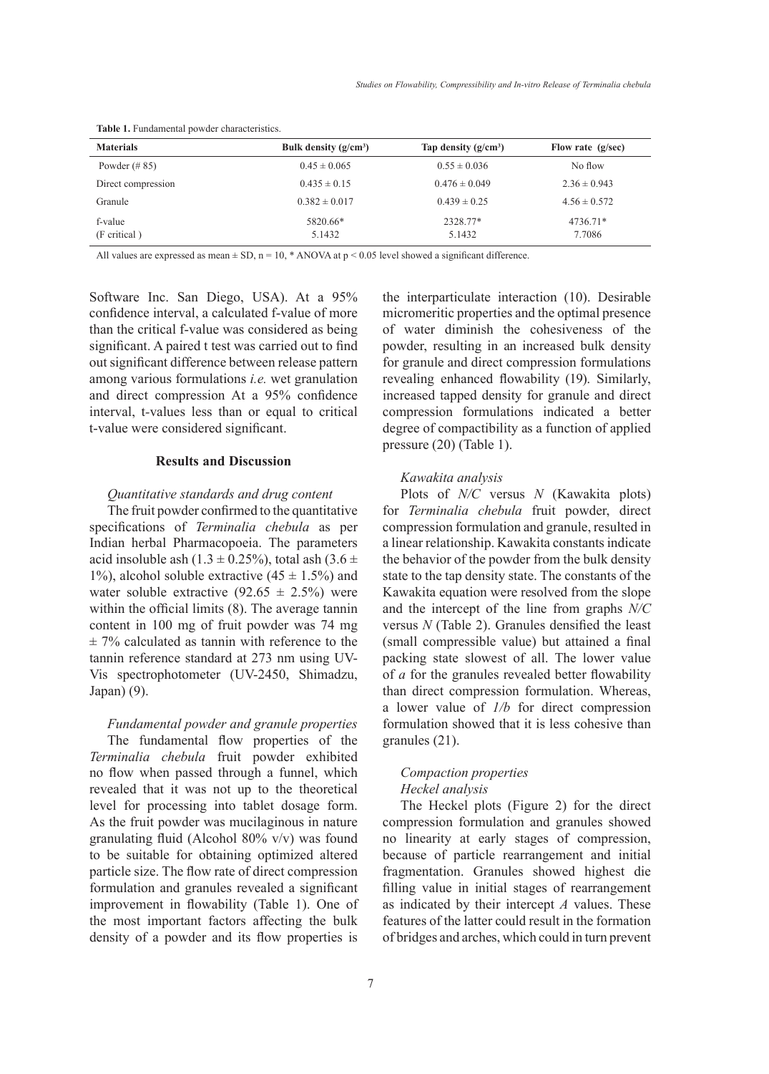| <b>Materials</b>        | Bulk density $(g/cm^3)$ | Tap density $(g/cm^3)$ | Flow rate $(g/sec)$ |
|-------------------------|-------------------------|------------------------|---------------------|
| Powder $(\# 85)$        | $0.45 \pm 0.065$        | $0.55 \pm 0.036$       | No flow             |
| Direct compression      | $0.435 \pm 0.15$        | $0.476 \pm 0.049$      | $2.36 \pm 0.943$    |
| Granule                 | $0.382 \pm 0.017$       | $0.439 \pm 0.25$       | $4.56 \pm 0.572$    |
| f-value<br>(F critical) | 5820.66*<br>5.1432      | 2328.77*<br>5.1432     | 4736.71*<br>7.7086  |

**Table 1.** Fundamental powder characteristics.

All values are expressed as mean  $\pm$  SD, n = 10, \* ANOVA at p < 0.05 level showed a significant difference.

Software Inc. San Diego, USA). At a 95% confidence interval, a calculated f-value of more than the critical f-value was considered as being significant. A paired t test was carried out to find out significant difference between release pattern among various formulations *i.e.* wet granulation and direct compression At a 95% confidence interval, t*-*values less than or equal to critical t-value were considered significant.

#### **Results and Discussion**

#### *Quantitative standards and drug content*

The fruit powder confirmed to the quantitative specifications of *Terminalia chebula* as per Indian herbal Pharmacopoeia. The parameters acid insoluble ash  $(1.3 \pm 0.25\%)$ , total ash  $(3.6 \pm 1.5\%)$ 1%), alcohol soluble extractive  $(45 \pm 1.5\%)$  and water soluble extractive  $(92.65 \pm 2.5\%)$  were within the official limits (8). The average tannin content in 100 mg of fruit powder was 74 mg  $\pm$  7% calculated as tannin with reference to the tannin reference standard at 273 nm using UV-Vis spectrophotometer (UV-2450, Shimadzu, Japan) (9).

*Fundamental powder and granule properties* The fundamental flow properties of the *Terminalia chebula* fruit powder exhibited no flow when passed through a funnel, which revealed that it was not up to the theoretical level for processing into tablet dosage form. As the fruit powder was mucilaginous in nature granulating fluid (Alcohol 80% v/v) was found to be suitable for obtaining optimized altered particle size. The flow rate of direct compression formulation and granules revealed a significant improvement in flowability (Table 1). One of the most important factors affecting the bulk density of a powder and its flow properties is the interparticulate interaction (10). Desirable micromeritic properties and the optimal presence of water diminish the cohesiveness of the powder, resulting in an increased bulk density for granule and direct compression formulations revealing enhanced flowability (19). Similarly, increased tapped density for granule and direct compression formulations indicated a better degree of compactibility as a function of applied pressure (20) (Table 1).

# *Kawakita analysis*

Plots of *N/C* versus *N* (Kawakita plots) for *Terminalia chebula* fruit powder, direct compression formulation and granule, resulted in a linear relationship. Kawakita constants indicate the behavior of the powder from the bulk density state to the tap density state. The constants of the Kawakita equation were resolved from the slope and the intercept of the line from graphs *N/C* versus *N* (Table 2). Granules densified the least (small compressible value) but attained a final packing state slowest of all. The lower value of *a* for the granules revealed better flowability than direct compression formulation. Whereas, a lower value of *1/b* for direct compression formulation showed that it is less cohesive than granules (21).

# *Compaction properties Heckel analysis*

The Heckel plots (Figure 2) for the direct compression formulation and granules showed no linearity at early stages of compression, because of particle rearrangement and initial fragmentation. Granules showed highest die filling value in initial stages of rearrangement as indicated by their intercept *A* values. These features of the latter could result in the formation of bridges and arches, which could in turn prevent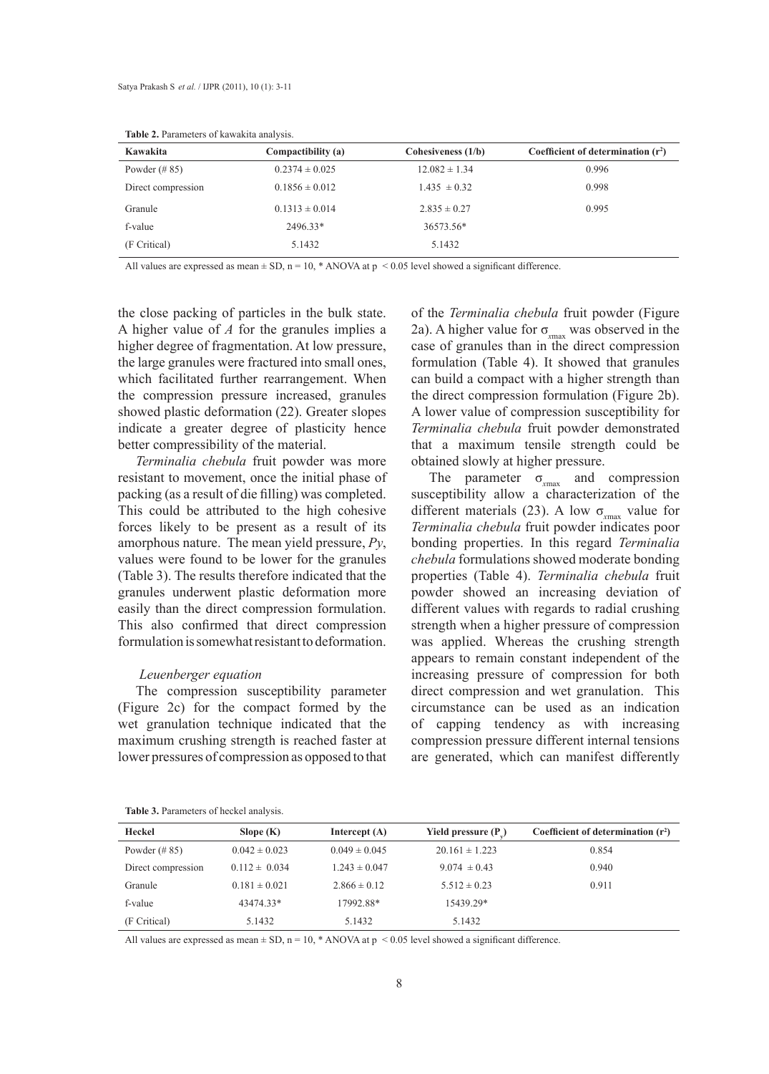| Kawakita           | Compactibility (a) | Cohesiveness $(1/b)$ | Coefficient of determination $(r^2)$ |
|--------------------|--------------------|----------------------|--------------------------------------|
| Powder $(\# 85)$   | $0.2374 \pm 0.025$ | $12.082 \pm 1.34$    | 0.996                                |
| Direct compression | $0.1856 \pm 0.012$ | $1.435 \pm 0.32$     | 0.998                                |
| Granule            | $0.1313 \pm 0.014$ | $2.835 \pm 0.27$     | 0.995                                |
| f-value            | 2496.33*           | 36573.56*            |                                      |
| (F Critical)       | 5.1432             | 5.1432               |                                      |

**Table 2.** Parameters of kawakita analysis.

All values are expressed as mean  $\pm$  SD, n = 10, \* ANOVA at p < 0.05 level showed a significant difference.

the close packing of particles in the bulk state. A higher value of *A* for the granules implies a higher degree of fragmentation. At low pressure, the large granules were fractured into small ones, which facilitated further rearrangement. When the compression pressure increased, granules showed plastic deformation (22). Greater slopes indicate a greater degree of plasticity hence better compressibility of the material.

*Terminalia chebula* fruit powder was more resistant to movement, once the initial phase of packing (as a result of die filling) was completed. This could be attributed to the high cohesive forces likely to be present as a result of its amorphous nature. The mean yield pressure, *Py*, values were found to be lower for the granules (Table 3). The results therefore indicated that the granules underwent plastic deformation more easily than the direct compression formulation. This also confirmed that direct compression formulation is somewhat resistant to deformation.

#### *Leuenberger equation*

The compression susceptibility parameter (Figure 2c) for the compact formed by the wet granulation technique indicated that the maximum crushing strength is reached faster at lower pressures of compression as opposed to that

of the *Terminalia chebula* fruit powder (Figure 2a). A higher value for  $\sigma_{\text{max}}$  was observed in the case of granules than in the direct compression formulation (Table 4). It showed that granules can build a compact with a higher strength than the direct compression formulation (Figure 2b). A lower value of compression susceptibility for *Terminalia chebula* fruit powder demonstrated that a maximum tensile strength could be obtained slowly at higher pressure.

The parameter  $\sigma_{\text{max}}$  and compression susceptibility allow a characterization of the different materials (23). A low  $\sigma_{\text{max}}$  value for *Terminalia chebula* fruit powder indicates poor bonding properties. In this regard *Terminalia chebula* formulations showed moderate bonding properties (Table 4). *Terminalia chebula* fruit powder showed an increasing deviation of different values with regards to radial crushing strength when a higher pressure of compression was applied. Whereas the crushing strength appears to remain constant independent of the increasing pressure of compression for both direct compression and wet granulation. This circumstance can be used as an indication of capping tendency as with increasing compression pressure different internal tensions are generated, which can manifest differently

|  | Table 3. Parameters of heckel analysis. |  |  |
|--|-----------------------------------------|--|--|
|--|-----------------------------------------|--|--|

| Heckel             | Slope $(K)$       | Intercept $(A)$   | Yield pressure $(P_0)$ | Coefficient of determination $(r^2)$ |
|--------------------|-------------------|-------------------|------------------------|--------------------------------------|
| Powder $(\# 85)$   | $0.042 \pm 0.023$ | $0.049 \pm 0.045$ | $20.161 \pm 1.223$     | 0.854                                |
| Direct compression | $0.112 \pm 0.034$ | $1.243 \pm 0.047$ | $9.074 \pm 0.43$       | 0.940                                |
| Granule            | $0.181 \pm 0.021$ | $2.866 \pm 0.12$  | $5.512 \pm 0.23$       | 0.911                                |
| f-value            | 43474.33*         | 17992.88*         | 15439.29*              |                                      |
| (F Critical)       | 5.1432            | 5.1432            | 5.1432                 |                                      |

All values are expressed as mean  $\pm$  SD, n = 10, \* ANOVA at p < 0.05 level showed a significant difference.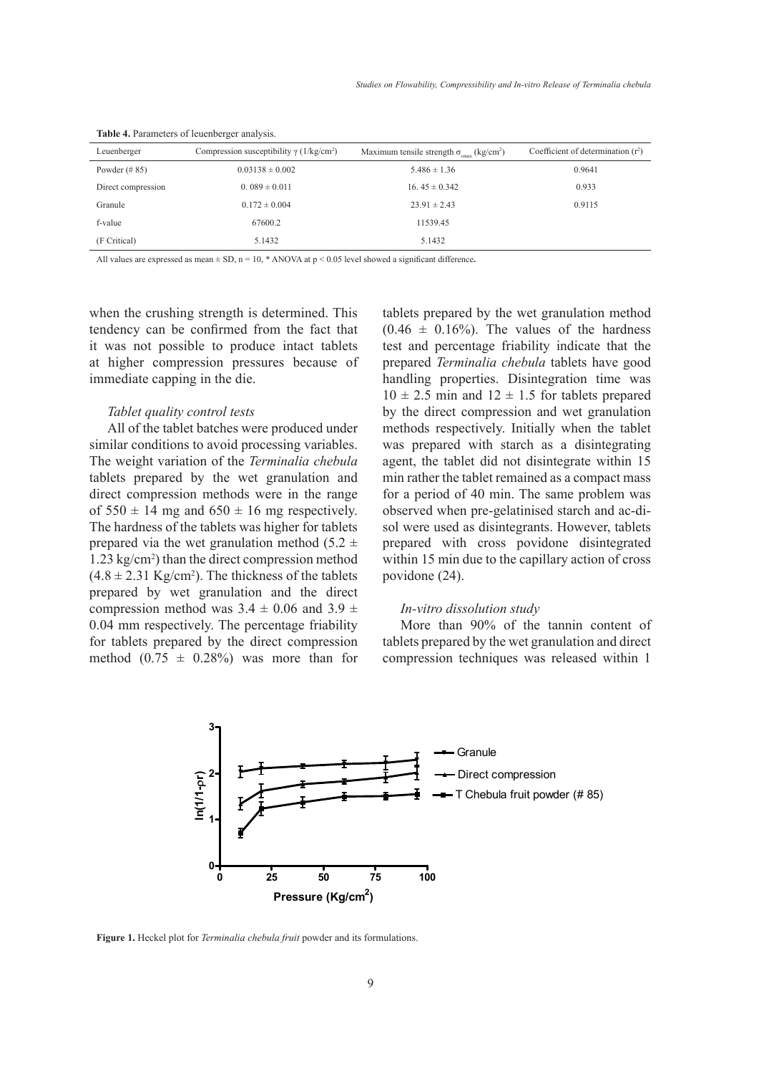| Leuenberger        | Compression susceptibility $\gamma$ (1/kg/cm <sup>2</sup> ) | Maximum tensile strength $\sigma_{\text{max}}$ (kg/cm <sup>2</sup> ) | Coefficient of determination $(r^2)$ |
|--------------------|-------------------------------------------------------------|----------------------------------------------------------------------|--------------------------------------|
| Powder $(\# 85)$   | $0.03138 \pm 0.002$                                         | $5.486 \pm 1.36$                                                     | 0.9641                               |
| Direct compression | $0.089 \pm 0.011$                                           | 16.45 $\pm$ 0.342                                                    | 0.933                                |
| Granule            | $0.172 \pm 0.004$                                           | $23.91 \pm 2.43$                                                     | 0.9115                               |
| f-value            | 67600.2                                                     | 11539.45                                                             |                                      |
| (F Critical)       | 5.1432                                                      | 5.1432                                                               |                                      |

**Table 4.** Parameters of leuenberger analysis.

**Table 5. Release profile of tablets prepared by direct compression and wet granulation**  All values are expressed as mean  $\pm$  SD, n = 10,  $*$  ANOVA at p < 0.05 level showed a significant difference.

tendency can be confirmed from the fact that  $(0.46$ it was not possible to produce intact tablets test an at higher compression pressures because of prepar immediate capping in the die. The shandli when the crushing strength is determined. This

#### *Tablet quality control tests*

All of the tablet batches were produced under similar conditions to avoid processing variables. The weight variation of the *Terminalia chebula*  tablets prepared by the wet granulation and direct compression methods were in the range of  $550 \pm 14$  mg and  $650 \pm 16$  mg respectively. The hardness of the tablets was higher for tablets prepared via the wet granulation method (5.2  $\pm$ 1.23 kg/cm2 ) than the direct compression method  $(4.8 \pm 2.31 \text{ Kg/cm}^2)$ . The thickness of the tablets prepared by wet granulation and the direct compression method was  $3.4 \pm 0.06$  and  $3.9 \pm$ 0.04 mm respectively. The percentage friability for tablets prepared by the direct compression method  $(0.75 \pm 0.28\%)$  was more than for

ng strength is determined. This tablets prepared by the wet granulation method pression pressures because of prepared *Terminalia chebula* tablets have good  $10 \pm 2.5$  min and  $12 \pm 1.5$  for tablets prepared  $(0.46 \pm 0.16\%)$ . The values of the hardness test and percentage friability indicate that the handling properties. Disintegration time was by the direct compression and wet granulation methods respectively. Initially when the tablet was prepared with starch as a disintegrating agent, the tablet did not disintegrate within 15 min rather the tablet remained as a compact mass for a period of 40 min. The same problem was observed when pre-gelatinised starch and ac-disol were used as disintegrants. However, tablets prepared with cross povidone disintegrated within 15 min due to the capillary action of cross povidone (24).

# *In-vitro dissolution study*

More than 90% of the tannin content of tablets prepared by the wet granulation and direct compression techniques was released within 1



**Figure 1.** Heckel plot for *Terminalia chebula fruit* powder and its formulations.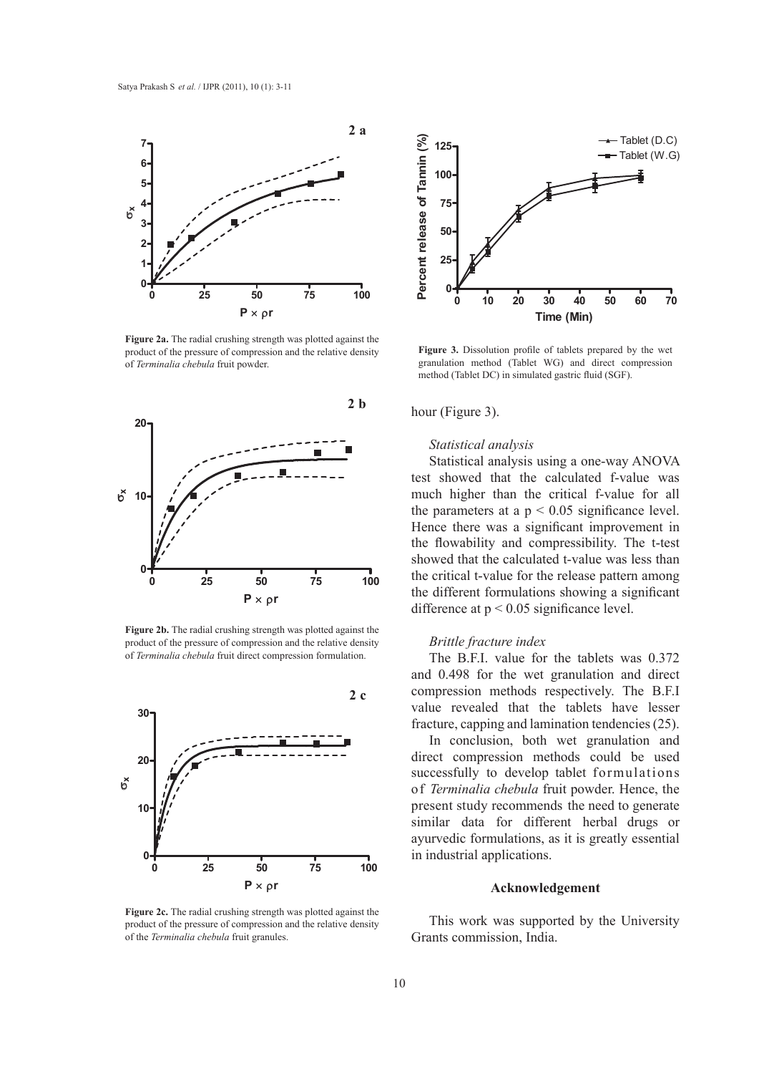

**Figure 2a.** The radial crushing strength was plotted against the product of the pressure of compression and the relative density of *Terminalia chebula* fruit powder.



**Figure 2b.** The radial crushing strength was plotted against the product of the pressure of compression and the relative density of *Terminalia chebula* fruit direct compression formulation.



**Figure 2c.** The radial crushing strength was plotted against the product of the pressure of compression and the relative density of the *Terminalia chebula* fruit granules.



**Figure 3.** Dissolution profile of tablets prepared by the wet granulation method (Tablet WG) and direct compression method (Tablet DC) in simulated gastric fluid (SGF).

#### hour (Figure 3).

# *Statistical analysis*

Statistical analysis using a one-way ANOVA test showed that the calculated f-value was much higher than the critical f-value for all the parameters at a  $p < 0.05$  significance level. Hence there was a significant improvement in the flowability and compressibility. The t-test showed that the calculated t-value was less than the critical t-value for the release pattern among the different formulations showing a significant difference at p < 0.05 significance level.

# *Brittle fracture index*

The B.F.I. value for the tablets was 0.372 and 0.498 for the wet granulation and direct compression methods respectively. The B.F.I value revealed that the tablets have lesser fracture, capping and lamination tendencies (25).

In conclusion, both wet granulation and direct compression methods could be used successfully to develop tablet formulations of *Terminalia chebula* fruit powder. Hence, the present study recommends the need to generate similar data for different herbal drugs or ayurvedic formulations, as it is greatly essential in industrial applications.

#### **Acknowledgement**

This work was supported by the University Grants commission, India.